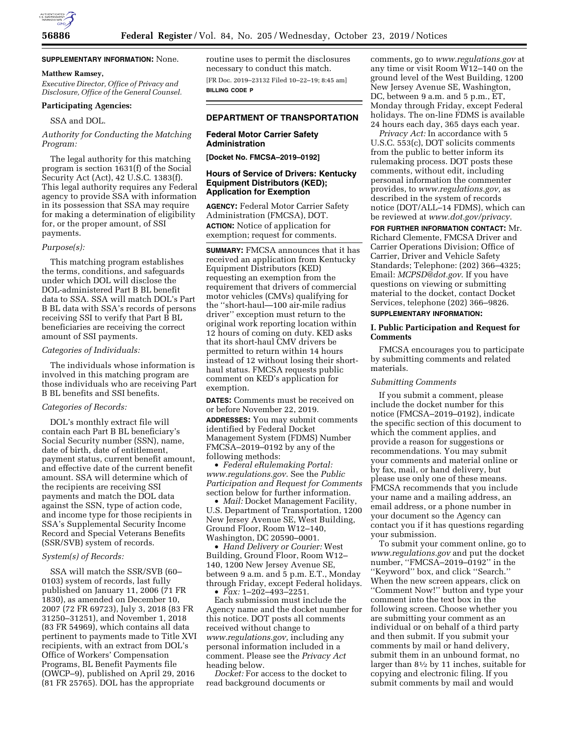

## **SUPPLEMENTARY INFORMATION:** None.

### **Matthew Ramsey,**

*Executive Director, Office of Privacy and Disclosure, Office of the General Counsel.* 

# **Participating Agencies:**

SSA and DOL.

## *Authority for Conducting the Matching Program:*

The legal authority for this matching program is section 1631(f) of the Social Security Act (Act), 42 U.S.C. 1383(f). This legal authority requires any Federal agency to provide SSA with information in its possession that SSA may require for making a determination of eligibility for, or the proper amount, of SSI payments.

#### *Purpose(s):*

This matching program establishes the terms, conditions, and safeguards under which DOL will disclose the DOL-administered Part B BL benefit data to SSA. SSA will match DOL's Part B BL data with SSA's records of persons receiving SSI to verify that Part B BL beneficiaries are receiving the correct amount of SSI payments.

#### *Categories of Individuals:*

The individuals whose information is involved in this matching program are those individuals who are receiving Part B BL benefits and SSI benefits.

### *Categories of Records:*

DOL's monthly extract file will contain each Part B BL beneficiary's Social Security number (SSN), name, date of birth, date of entitlement, payment status, current benefit amount, and effective date of the current benefit amount. SSA will determine which of the recipients are receiving SSI payments and match the DOL data against the SSN, type of action code, and income type for those recipients in SSA's Supplemental Security Income Record and Special Veterans Benefits (SSR/SVB) system of records.

### *System(s) of Records:*

SSA will match the SSR/SVB (60– 0103) system of records, last fully published on January 11, 2006 (71 FR 1830), as amended on December 10, 2007 (72 FR 69723), July 3, 2018 (83 FR 31250–31251), and November 1, 2018 (83 FR 54969), which contains all data pertinent to payments made to Title XVI recipients, with an extract from DOL's Office of Workers' Compensation Programs, BL Benefit Payments file (OWCP–9), published on April 29, 2016 (81 FR 25765). DOL has the appropriate

routine uses to permit the disclosures necessary to conduct this match.

[FR Doc. 2019–23132 Filed 10–22–19; 8:45 am] **BILLING CODE P** 

### **DEPARTMENT OF TRANSPORTATION**

### **Federal Motor Carrier Safety Administration**

**[Docket No. FMCSA–2019–0192]** 

### **Hours of Service of Drivers: Kentucky Equipment Distributors (KED); Application for Exemption**

**AGENCY:** Federal Motor Carrier Safety Administration (FMCSA), DOT. **ACTION:** Notice of application for exemption; request for comments.

**SUMMARY:** FMCSA announces that it has received an application from Kentucky Equipment Distributors (KED) requesting an exemption from the requirement that drivers of commercial motor vehicles (CMVs) qualifying for the ''short-haul—100 air-mile radius driver'' exception must return to the original work reporting location within 12 hours of coming on duty. KED asks that its short-haul CMV drivers be permitted to return within 14 hours instead of 12 without losing their shorthaul status. FMCSA requests public comment on KED's application for exemption.

**DATES:** Comments must be received on or before November 22, 2019.

**ADDRESSES:** You may submit comments identified by Federal Docket Management System (FDMS) Number FMCSA–2019–0192 by any of the following methods:

• *Federal eRulemaking Portal: [www.regulations.gov](http://www.regulations.gov)*. See the *Public Participation and Request for Comments*  section below for further information.

• *Mail:* Docket Management Facility, U.S. Department of Transportation, 1200 New Jersey Avenue SE, West Building, Ground Floor, Room W12–140, Washington, DC 20590–0001.

• *Hand Delivery or Courier:* West Building, Ground Floor, Room W12– 140, 1200 New Jersey Avenue SE, between 9 a.m. and 5 p.m. E.T., Monday through Friday, except Federal holidays. • *Fax:* 1–202–493–2251.

Each submission must include the Agency name and the docket number for this notice. DOT posts all comments received without change to *[www.regulations.gov,](http://www.regulations.gov)* including any personal information included in a comment. Please see the *Privacy Act*  heading below.

*Docket:* For access to the docket to read background documents or

comments, go to *[www.regulations.gov](http://www.regulations.gov)* at any time or visit Room W12–140 on the ground level of the West Building, 1200 New Jersey Avenue SE, Washington, DC, between 9 a.m. and 5 p.m., ET, Monday through Friday, except Federal holidays. The on-line FDMS is available 24 hours each day, 365 days each year.

*Privacy Act:* In accordance with 5 U.S.C. 553(c), DOT solicits comments from the public to better inform its rulemaking process. DOT posts these comments, without edit, including personal information the commenter provides, to *[www.regulations.gov,](http://www.regulations.gov)* as described in the system of records notice (DOT/ALL–14 FDMS), which can be reviewed at *[www.dot.gov/privacy](http://www.dot.gov/privacy)*.

**FOR FURTHER INFORMATION CONTACT:** Mr. Richard Clemente, FMCSA Driver and Carrier Operations Division; Office of Carrier, Driver and Vehicle Safety Standards; Telephone: (202) 366–4325; Email: *[MCPSD@dot.gov](mailto:MCPSD@dot.gov)*. If you have questions on viewing or submitting material to the docket, contact Docket Services, telephone (202) 366–9826.

## **SUPPLEMENTARY INFORMATION:**

### **I. Public Participation and Request for Comments**

FMCSA encourages you to participate by submitting comments and related materials.

### *Submitting Comments*

If you submit a comment, please include the docket number for this notice (FMCSA–2019–0192), indicate the specific section of this document to which the comment applies, and provide a reason for suggestions or recommendations. You may submit your comments and material online or by fax, mail, or hand delivery, but please use only one of these means. FMCSA recommends that you include your name and a mailing address, an email address, or a phone number in your document so the Agency can contact you if it has questions regarding your submission.

To submit your comment online, go to *[www.regulations.gov](http://www.regulations.gov)* and put the docket number, ''FMCSA–2019–0192'' in the ''Keyword'' box, and click ''Search.'' When the new screen appears, click on ''Comment Now!'' button and type your comment into the text box in the following screen. Choose whether you are submitting your comment as an individual or on behalf of a third party and then submit. If you submit your comments by mail or hand delivery, submit them in an unbound format, no larger than 81⁄2 by 11 inches, suitable for copying and electronic filing. If you submit comments by mail and would